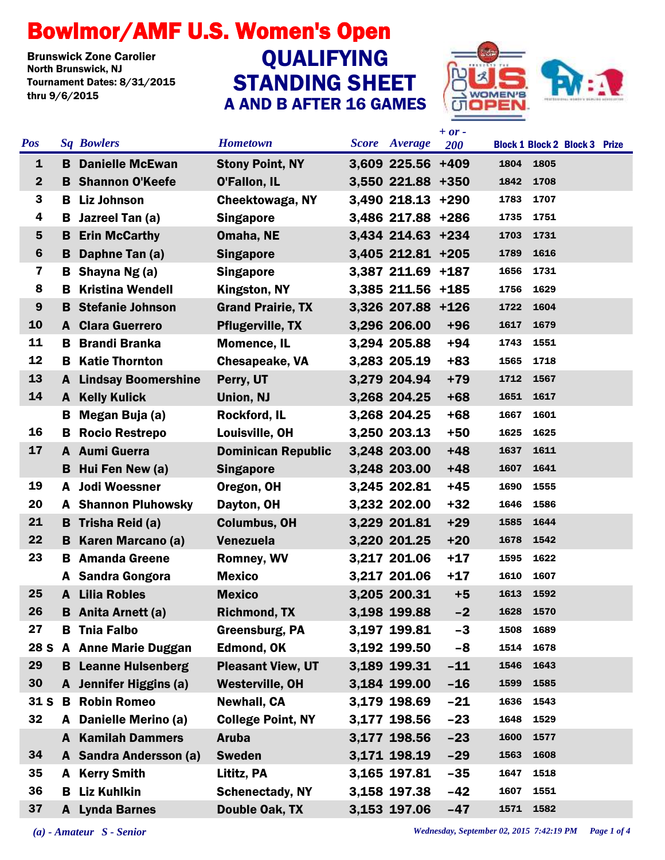## Bowlmor/AMF U.S. Women's Open

**Brunswick Zone Carolier<br>North Brunswick, NJ** Tournament Dates: 8/31/2015 thru 9/6/2015

## STANDING SHEET A AND B AFTER 16 GAMES **QUALIFYING**



| <b>Pos</b>              |    | <b>Sq Bowlers</b>          | <b>Hometown</b>           | <b>Score</b> | Average           | $+ or -$ |              |      | <b>Block 1 Block 2 Block 3 Prize</b> |  |
|-------------------------|----|----------------------------|---------------------------|--------------|-------------------|----------|--------------|------|--------------------------------------|--|
| $\mathbf 1$             |    |                            |                           |              |                   | 200      | 1804         | 1805 |                                      |  |
| $\mathbf{2}$            | B. | <b>Danielle McEwan</b>     | <b>Stony Point, NY</b>    |              | 3,609 225.56 +409 |          |              | 1708 |                                      |  |
| 3                       |    | <b>B</b> Shannon O'Keefe   | <b>O'Fallon, IL</b>       |              | 3,550 221.88 +350 |          | 1842<br>1783 |      |                                      |  |
| 4                       | В  | <b>Liz Johnson</b>         | Cheektowaga, NY           |              | 3,490 218.13 +290 |          |              | 1707 |                                      |  |
|                         | В  | Jazreel Tan (a)            | <b>Singapore</b>          |              | 3,486 217.88 +286 |          | 1735         | 1751 |                                      |  |
| $5\phantom{1}$          | B  | <b>Erin McCarthy</b>       | Omaha, NE                 |              | 3,434 214.63 +234 |          | 1703         | 1731 |                                      |  |
| $6\phantom{1}6$         | B  | Daphne Tan (a)             | <b>Singapore</b>          |              | 3,405 212.81 +205 |          | 1789         | 1616 |                                      |  |
| $\overline{\mathbf{z}}$ | В  | Shayna Ng (a)              | <b>Singapore</b>          |              | 3,387 211.69 +187 |          | 1656         | 1731 |                                      |  |
| 8                       | в  | <b>Kristina Wendell</b>    | Kingston, NY              |              | 3,385 211.56 +185 |          | 1756         | 1629 |                                      |  |
| 9                       | в  | <b>Stefanie Johnson</b>    | <b>Grand Prairie, TX</b>  |              | 3,326 207.88 +126 |          | 1722         | 1604 |                                      |  |
| 10                      | A  | <b>Clara Guerrero</b>      | <b>Pflugerville, TX</b>   |              | 3,296 206.00      | $+96$    | 1617         | 1679 |                                      |  |
| 11                      | в. | <b>Brandi Branka</b>       | <b>Momence, IL</b>        |              | 3,294 205.88      | $+94$    | 1743         | 1551 |                                      |  |
| 12                      | в  | <b>Katie Thornton</b>      | <b>Chesapeake, VA</b>     |              | 3,283 205.19      | $+83$    | 1565         | 1718 |                                      |  |
| 13                      | A  | <b>Lindsay Boomershine</b> | Perry, UT                 |              | 3,279 204.94      | $+79$    | 1712         | 1567 |                                      |  |
| 14                      | A  | <b>Kelly Kulick</b>        | Union, NJ                 |              | 3,268 204.25      | $+68$    | 1651         | 1617 |                                      |  |
|                         | В  | Megan Buja (a)             | Rockford, IL              |              | 3,268 204.25      | $+68$    | 1667         | 1601 |                                      |  |
| 16                      | В  | <b>Rocio Restrepo</b>      | Louisville, OH            |              | 3,250 203.13      | $+50$    | 1625         | 1625 |                                      |  |
| 17                      |    | A Aumi Guerra              | <b>Dominican Republic</b> |              | 3,248 203.00      | $+48$    | 1637         | 1611 |                                      |  |
|                         | B  | Hui Fen New (a)            | <b>Singapore</b>          |              | 3,248 203.00      | $+48$    | 1607         | 1641 |                                      |  |
| 19                      | A  | <b>Jodi Woessner</b>       | Oregon, OH                |              | 3,245 202.81      | $+45$    | 1690         | 1555 |                                      |  |
| 20                      |    | <b>A</b> Shannon Pluhowsky | Dayton, OH                |              | 3,232 202.00      | $+32$    | 1646         | 1586 |                                      |  |
| 21                      |    | <b>B</b> Trisha Reid (a)   | <b>Columbus, OH</b>       |              | 3,229 201.81      | $+29$    | 1585         | 1644 |                                      |  |
| 22                      |    | <b>B</b> Karen Marcano (a) | <b>Venezuela</b>          |              | 3,220 201.25      | $+20$    | 1678         | 1542 |                                      |  |
| 23                      | В  | <b>Amanda Greene</b>       | <b>Romney, WV</b>         |              | 3,217 201.06      | $+17$    | 1595         | 1622 |                                      |  |
|                         |    | A Sandra Gongora           | <b>Mexico</b>             |              | 3,217 201.06      | $+17$    | 1610         | 1607 |                                      |  |
| 25                      | A  | <b>Lilia Robles</b>        | <b>Mexico</b>             |              | 3,205 200.31      | $+5$     | 1613         | 1592 |                                      |  |
| 26                      |    | <b>B</b> Anita Arnett (a)  | <b>Richmond, TX</b>       |              | 3,198 199.88      | $-2$     | 1628 1570    |      |                                      |  |
| 27                      |    | <b>B</b> Tnia Falbo        | <b>Greensburg, PA</b>     |              | 3,197 199.81      | $-3$     | 1508         | 1689 |                                      |  |
|                         |    | 28 S A Anne Marie Duggan   | <b>Edmond, OK</b>         |              | 3,192 199.50      | $-8$     | 1514         | 1678 |                                      |  |
| 29                      |    | <b>B</b> Leanne Hulsenberg | <b>Pleasant View, UT</b>  |              | 3,189 199.31      | $-11$    | 1546         | 1643 |                                      |  |
| 30                      |    | A Jennifer Higgins (a)     | <b>Westerville, OH</b>    |              | 3,184 199.00      | $-16$    | 1599         | 1585 |                                      |  |
| 31 <sub>S</sub>         | B  | <b>Robin Romeo</b>         | <b>Newhall, CA</b>        |              | 3,179 198.69      | $-21$    | 1636         | 1543 |                                      |  |
| 32                      | A  | Danielle Merino (a)        | <b>College Point, NY</b>  |              | 3,177 198.56      | $-23$    | 1648         | 1529 |                                      |  |
|                         | A  | <b>Kamilah Dammers</b>     | <b>Aruba</b>              |              | 3,177 198.56      | $-23$    | 1600         | 1577 |                                      |  |
| 34                      |    | A Sandra Andersson (a)     | <b>Sweden</b>             |              | 3,171 198.19      | $-29$    | 1563         | 1608 |                                      |  |
| 35                      | A  | <b>Kerry Smith</b>         | Lititz, PA                |              | 3,165 197.81      | $-35$    | 1647         | 1518 |                                      |  |
| 36                      |    | <b>B</b> Liz Kuhlkin       | <b>Schenectady, NY</b>    |              | 3,158 197.38      | $-42$    | 1607         | 1551 |                                      |  |
| 37                      |    | <b>A</b> Lynda Barnes      | Double Oak, TX            |              | 3,153 197.06      | $-47$    | 1571         | 1582 |                                      |  |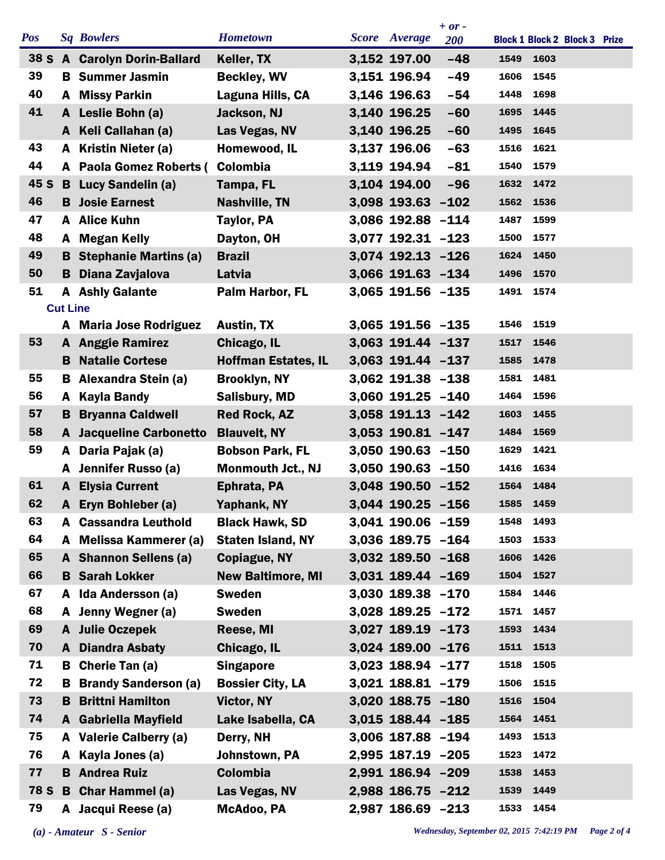|            |                 |                                |                            |                      | $+ or -$   |      |                                      |  |
|------------|-----------------|--------------------------------|----------------------------|----------------------|------------|------|--------------------------------------|--|
| <b>Pos</b> |                 | <b>Sq Bowlers</b>              | <b>Hometown</b>            | <b>Score</b> Average | <b>200</b> |      | <b>Block 1 Block 2 Block 3 Prize</b> |  |
|            |                 | 38 S A Carolyn Dorin-Ballard   | Keller, TX                 | 3,152 197.00         | $-48$      | 1549 | 1603                                 |  |
| 39         |                 | <b>B</b> Summer Jasmin         | <b>Beckley, WV</b>         | 3,151 196.94         | $-49$      | 1606 | 1545                                 |  |
| 40         |                 | A Missy Parkin                 | Laguna Hills, CA           | 3,146 196.63         | $-54$      | 1448 | 1698                                 |  |
| 41         |                 | A Leslie Bohn (a)              | Jackson, NJ                | 3,140 196.25         | $-60$      | 1695 | 1445                                 |  |
|            |                 | A Keli Callahan (a)            | Las Vegas, NV              | 3,140 196.25         | $-60$      | 1495 | 1645                                 |  |
| 43         | A               | Kristin Nieter (a)             | Homewood, IL               | 3,137 196.06         | $-63$      | 1516 | 1621                                 |  |
| 44         |                 | A Paola Gomez Roberts (        | Colombia                   | 3,119 194.94         | $-81$      | 1540 | 1579                                 |  |
| 45 S       |                 | <b>B</b> Lucy Sandelin (a)     | Tampa, FL                  | 3,104 194.00         | $-96$      | 1632 | 1472                                 |  |
| 46         |                 | <b>B</b> Josie Earnest         | <b>Nashville, TN</b>       | 3,098 193.63 -102    |            |      | 1562 1536                            |  |
| 47         |                 | A Alice Kuhn                   | <b>Taylor, PA</b>          | 3,086 192.88 -114    |            | 1487 | 1599                                 |  |
| 48         |                 | A Megan Kelly                  | Dayton, OH                 | 3,077 192.31 -123    |            | 1500 | 1577                                 |  |
| 49         |                 | <b>B</b> Stephanie Martins (a) | <b>Brazil</b>              | 3,074 192.13 -126    |            | 1624 | 1450                                 |  |
| 50         | в               | Diana Zavjalova                | Latvia                     | 3,066 191.63 -134    |            | 1496 | 1570                                 |  |
| 51         |                 | <b>A</b> Ashly Galante         | Palm Harbor, FL            | 3,065 191.56 -135    |            | 1491 | 1574                                 |  |
|            | <b>Cut Line</b> |                                |                            |                      |            |      |                                      |  |
|            |                 | A Maria Jose Rodriguez         | <b>Austin, TX</b>          | 3,065 191.56 -135    |            | 1546 | 1519                                 |  |
| 53         |                 | <b>A</b> Anggie Ramirez        | Chicago, IL                | 3,063 191.44 -137    |            | 1517 | 1546                                 |  |
|            |                 | <b>B</b> Natalie Cortese       | <b>Hoffman Estates, IL</b> | 3,063 191.44 -137    |            | 1585 | 1478                                 |  |
| 55         |                 | <b>B</b> Alexandra Stein (a)   | <b>Brooklyn, NY</b>        | 3,062 191.38 -138    |            | 1581 | 1481                                 |  |
| 56         | A               | <b>Kayla Bandy</b>             | <b>Salisbury, MD</b>       | 3,060 191.25 -140    |            | 1464 | 1596                                 |  |
| 57         | B.              | <b>Bryanna Caldwell</b>        | <b>Red Rock, AZ</b>        | 3,058 191.13 -142    |            | 1603 | 1455                                 |  |
| 58         |                 | <b>A</b> Jacqueline Carbonetto | <b>Blauvelt, NY</b>        | 3,053 190.81 -147    |            | 1484 | 1569                                 |  |
| 59         | A               | Daria Pajak (a)                | <b>Bobson Park, FL</b>     | 3,050 190.63 -150    |            | 1629 | 1421                                 |  |
|            |                 | A Jennifer Russo (a)           | <b>Monmouth Jct., NJ</b>   | 3,050 190.63 -150    |            | 1416 | 1634                                 |  |
| 61         | A               | <b>Elysia Current</b>          | Ephrata, PA                | 3,048 190.50 -152    |            | 1564 | 1484                                 |  |
| 62         | A               | Eryn Bohleber (a)              | Yaphank, NY                | 3,044 190.25 -156    |            | 1585 | 1459                                 |  |
| 63         |                 | <b>A</b> Cassandra Leuthold    | <b>Black Hawk, SD</b>      | 3,041 190.06 -159    |            | 1548 | 1493                                 |  |
| 64         |                 | A Melissa Kammerer (a)         | <b>Staten Island, NY</b>   | 3,036 189.75 -164    |            | 1503 | 1533                                 |  |
| 65         |                 | A Shannon Sellens (a)          | <b>Copiague, NY</b>        | 3,032 189.50 -168    |            |      | 1606 1426                            |  |
| 66         |                 | <b>B</b> Sarah Lokker          | <b>New Baltimore, MI</b>   | 3,031 189.44 -169    |            | 1504 | 1527                                 |  |
| 67         |                 | A Ida Andersson (a)            | <b>Sweden</b>              | 3,030 189.38 -170    |            | 1584 | 1446                                 |  |
| 68         |                 | A Jenny Wegner (a)             | <b>Sweden</b>              | 3,028 189.25 -172    |            | 1571 | 1457                                 |  |
| 69         |                 | A Julie Oczepek                | Reese, MI                  | $3,027$ 189.19 -173  |            | 1593 | 1434                                 |  |
| 70         |                 | <b>A</b> Diandra Asbaty        | Chicago, IL                | 3,024 189.00 -176    |            |      | 1511 1513                            |  |
| 71         |                 | <b>B</b> Cherie Tan (a)        | <b>Singapore</b>           | 3,023 188.94 -177    |            | 1518 | 1505                                 |  |
| 72         | B               | <b>Brandy Sanderson (a)</b>    | <b>Bossier City, LA</b>    | 3,021 188.81 -179    |            | 1506 | 1515                                 |  |
| 73         | B.              | <b>Brittni Hamilton</b>        | Victor, NY                 | 3,020 188.75 -180    |            |      | 1516 1504                            |  |
| 74         |                 | A Gabriella Mayfield           | Lake Isabella, CA          | 3,015 188.44 -185    |            | 1564 | 1451                                 |  |
| 75         |                 | A Valerie Calberry (a)         | Derry, NH                  | 3,006 187.88 -194    |            | 1493 | 1513                                 |  |
| 76         | A               | Kayla Jones (a)                | Johnstown, PA              | 2,995 187.19 -205    |            | 1523 | 1472                                 |  |
| 77         |                 | <b>B</b> Andrea Ruiz           | <b>Colombia</b>            | 2,991 186.94 -209    |            | 1538 | 1453                                 |  |
|            |                 | 78 S B Char Hammel (a)         | Las Vegas, NV              | 2,988 186.75 -212    |            | 1539 | 1449                                 |  |
| 79         |                 | A Jacqui Reese (a)             | McAdoo, PA                 | 2,987 186.69 -213    |            | 1533 | 1454                                 |  |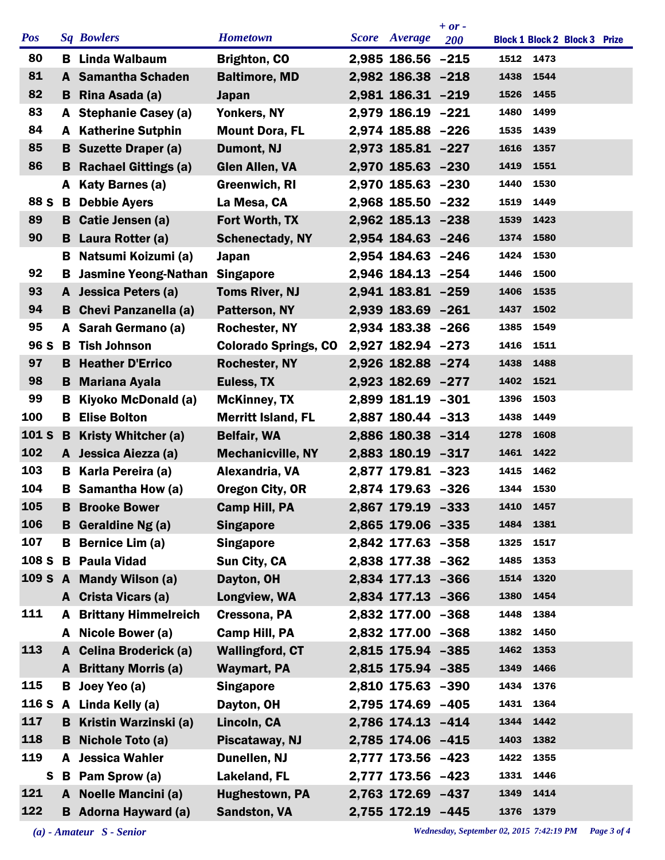|            |    |                                |                             |                   | $+ or -$   |      |                                      |  |
|------------|----|--------------------------------|-----------------------------|-------------------|------------|------|--------------------------------------|--|
| <b>Pos</b> |    | <b>Sq Bowlers</b>              | <b>Hometown</b>             | Score Average     | <b>200</b> |      | <b>Block 1 Block 2 Block 3 Prize</b> |  |
| 80         |    | <b>B</b> Linda Walbaum         | <b>Brighton, CO</b>         | 2,985 186.56 -215 |            |      | 1512 1473                            |  |
| 81         |    | A Samantha Schaden             | <b>Baltimore, MD</b>        | 2,982 186.38 -218 |            | 1438 | 1544                                 |  |
| 82         |    | <b>B</b> Rina Asada (a)        | <b>Japan</b>                | 2,981 186.31 -219 |            | 1526 | 1455                                 |  |
| 83         |    | A Stephanie Casey (a)          | Yonkers, NY                 | 2,979 186.19 -221 |            | 1480 | 1499                                 |  |
| 84         |    | <b>A</b> Katherine Sutphin     | <b>Mount Dora, FL</b>       | 2,974 185.88 -226 |            | 1535 | 1439                                 |  |
| 85         | B. | <b>Suzette Draper (a)</b>      | Dumont, NJ                  | 2,973 185.81 -227 |            | 1616 | 1357                                 |  |
| 86         |    | <b>B</b> Rachael Gittings (a)  | <b>Glen Allen, VA</b>       | 2,970 185.63 -230 |            | 1419 | 1551                                 |  |
|            |    | A Katy Barnes (a)              | <b>Greenwich, RI</b>        | 2,970 185.63 -230 |            | 1440 | 1530                                 |  |
| 88 S       | B  | <b>Debbie Ayers</b>            | La Mesa, CA                 | 2,968 185.50 -232 |            | 1519 | 1449                                 |  |
| 89         |    | <b>B</b> Catie Jensen (a)      | Fort Worth, TX              | 2,962 185.13 -238 |            | 1539 | 1423                                 |  |
| 90         |    | <b>B</b> Laura Rotter (a)      | <b>Schenectady, NY</b>      | 2,954 184.63 -246 |            | 1374 | 1580                                 |  |
|            | в  | Natsumi Koizumi (a)            | Japan                       | 2,954 184.63 -246 |            | 1424 | 1530                                 |  |
| 92         | В  | <b>Jasmine Yeong-Nathan</b>    | <b>Singapore</b>            | 2,946 184.13 -254 |            | 1446 | 1500                                 |  |
| 93         | A  | Jessica Peters (a)             | <b>Toms River, NJ</b>       | 2,941 183.81 -259 |            | 1406 | 1535                                 |  |
| 94         |    | <b>B</b> Chevi Panzanella (a)  | Patterson, NY               | 2,939 183.69 -261 |            | 1437 | 1502                                 |  |
| 95         |    | A Sarah Germano (a)            | <b>Rochester, NY</b>        | 2,934 183.38 -266 |            | 1385 | 1549                                 |  |
| 96 S       |    | <b>B</b> Tish Johnson          | <b>Colorado Springs, CO</b> | 2,927 182.94 -273 |            | 1416 | 1511                                 |  |
| 97         |    | <b>B</b> Heather D'Errico      | <b>Rochester, NY</b>        | 2,926 182.88 -274 |            | 1438 | 1488                                 |  |
| 98         | B. | <b>Mariana Ayala</b>           | Euless, TX                  | 2,923 182.69 -277 |            | 1402 | 1521                                 |  |
| 99         | B  | Kiyoko McDonald (a)            | <b>McKinney, TX</b>         | 2,899 181.19 -301 |            | 1396 | 1503                                 |  |
| 100        |    | <b>B</b> Elise Bolton          | <b>Merritt Island, FL</b>   | 2,887 180.44 -313 |            | 1438 | 1449                                 |  |
| 101 S      | B  | <b>Kristy Whitcher (a)</b>     | <b>Belfair, WA</b>          | 2,886 180.38 -314 |            | 1278 | 1608                                 |  |
| 102        |    | A Jessica Aiezza (a)           | <b>Mechanicville, NY</b>    | 2,883 180.19 -317 |            | 1461 | 1422                                 |  |
| 103        | в  | Karla Pereira (a)              | Alexandria, VA              | 2,877 179.81 -323 |            | 1415 | 1462                                 |  |
| 104        | в  | Samantha How (a)               | <b>Oregon City, OR</b>      | 2,874 179.63 -326 |            | 1344 | 1530                                 |  |
| 105        | B  | <b>Brooke Bower</b>            | <b>Camp Hill, PA</b>        | 2,867 179.19 -333 |            |      | 1410 1457                            |  |
| 106        | в  | Geraldine Ng (a)               | <b>Singapore</b>            | 2,865 179.06 -335 |            |      | 1484 1381                            |  |
| 107        | В  | <b>Bernice Lim (a)</b>         | <b>Singapore</b>            | 2,842 177.63 -358 |            | 1325 | 1517                                 |  |
| 108 S      |    | <b>B</b> Paula Vidad           | Sun City, CA                | 2,838 177.38 -362 |            | 1485 | 1353                                 |  |
| 109 S      |    | A Mandy Wilson (a)             | Dayton, OH                  | 2,834 177.13 -366 |            | 1514 | 1320                                 |  |
|            |    | A Crista Vicars (a)            | Longview, WA                | 2,834 177.13 -366 |            | 1380 | 1454                                 |  |
| 111        | A  | <b>Brittany Himmelreich</b>    | Cressona, PA                | 2,832 177.00 -368 |            | 1448 | 1384                                 |  |
|            | A  | Nicole Bower (a)               | <b>Camp Hill, PA</b>        | 2,832 177.00 -368 |            | 1382 | 1450                                 |  |
| 113        | A  | <b>Celina Broderick (a)</b>    | <b>Wallingford, CT</b>      | 2,815 175.94 -385 |            | 1462 | 1353                                 |  |
|            | A  | <b>Brittany Morris (a)</b>     | <b>Waymart, PA</b>          | 2,815 175.94 -385 |            | 1349 | 1466                                 |  |
| 115        | B  | Joey Yeo (a)                   | <b>Singapore</b>            | 2,810 175.63 -390 |            | 1434 | 1376                                 |  |
|            |    | 116 S A Linda Kelly (a)        | Dayton, OH                  | 2,795 174.69 -405 |            | 1431 | 1364                                 |  |
| 117        |    | <b>B</b> Kristin Warzinski (a) | Lincoln, CA                 | 2,786 174.13 -414 |            | 1344 | 1442                                 |  |
| 118        | в  | Nichole Toto (a)               | Piscataway, NJ              | 2,785 174.06 -415 |            | 1403 | 1382                                 |  |
| 119        | A  | <b>Jessica Wahler</b>          | Dunellen, NJ                | 2,777 173.56 -423 |            | 1422 | 1355                                 |  |
| S          |    | <b>B</b> Pam Sprow (a)         | Lakeland, FL                | 2,777 173.56 -423 |            | 1331 | 1446                                 |  |
| 121        |    | A Noelle Mancini (a)           | <b>Hughestown, PA</b>       | 2,763 172.69 -437 |            | 1349 | 1414                                 |  |
| 122        |    | <b>B</b> Adorna Hayward (a)    | <b>Sandston, VA</b>         | 2,755 172.19 -445 |            | 1376 | 1379                                 |  |